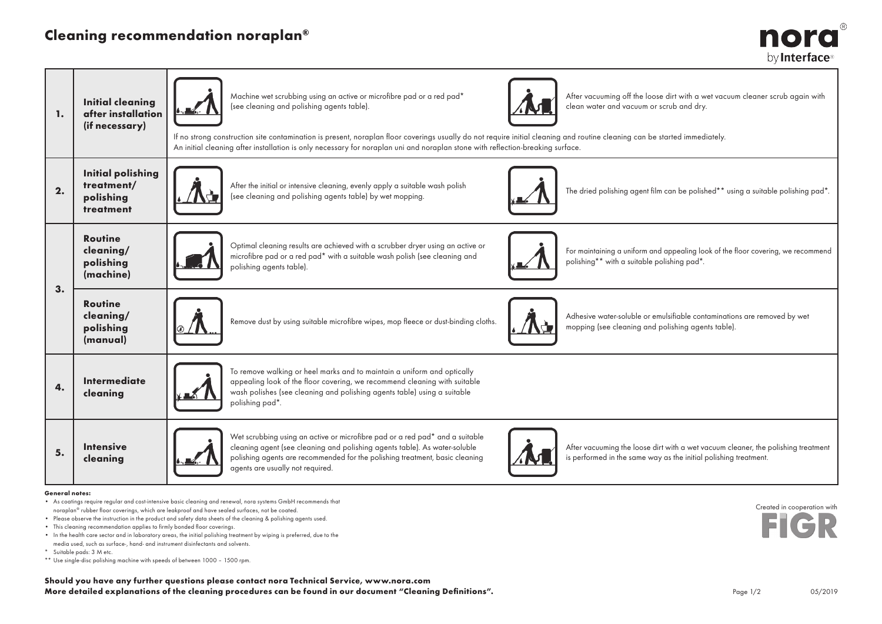## Cleaning recommendation noraplan®



| 1. | <b>Initial cleaning</b><br>after installation<br>(if necessary)  | Machine wet scrubbing using an active or microfibre pad or a red pad*<br>After vacuuming off the loose dirt with a wet vacuum cleaner scrub again with<br>clean water and vacuum or scrub and dry.<br>(see cleaning and polishing agents table).<br>If no strong construction site contamination is present, noraplan floor coverings usually do not require initial cleaning and routine cleaning can be started immediately.<br>An initial cleaning after installation is only necessary for noraplan uni and noraplan stone with reflection-breaking surface. |                                                                                                                                                                                                                                                                                |  |                                                                                                                                                       |  |  |
|----|------------------------------------------------------------------|------------------------------------------------------------------------------------------------------------------------------------------------------------------------------------------------------------------------------------------------------------------------------------------------------------------------------------------------------------------------------------------------------------------------------------------------------------------------------------------------------------------------------------------------------------------|--------------------------------------------------------------------------------------------------------------------------------------------------------------------------------------------------------------------------------------------------------------------------------|--|-------------------------------------------------------------------------------------------------------------------------------------------------------|--|--|
| 2. | <b>Initial polishing</b><br>treatment/<br>polishing<br>treatment |                                                                                                                                                                                                                                                                                                                                                                                                                                                                                                                                                                  | After the initial or intensive cleaning, evenly apply a suitable wash polish<br>(see cleaning and polishing agents table) by wet mopping.                                                                                                                                      |  | The dried polishing agent film can be polished** using a suitable polishing pad*.                                                                     |  |  |
| 3. | <b>Routine</b><br>cleaning/<br>polishing<br>(machine)            |                                                                                                                                                                                                                                                                                                                                                                                                                                                                                                                                                                  | Optimal cleaning results are achieved with a scrubber dryer using an active or<br>microfibre pad or a red pad* with a suitable wash polish (see cleaning and<br>polishing agents table).                                                                                       |  | For maintaining a uniform and appealing look of the floor covering, we recommend<br>polishing** with a suitable polishing pad*.                       |  |  |
|    | <b>Routine</b><br>cleaning/<br>polishing<br>(manual)             |                                                                                                                                                                                                                                                                                                                                                                                                                                                                                                                                                                  | Remove dust by using suitable microfibre wipes, mop fleece or dust-binding cloths.                                                                                                                                                                                             |  | Adhesive water-soluble or emulsifiable contaminations are removed by wet<br>mopping (see cleaning and polishing agents table).                        |  |  |
| 4. | <b>Intermediate</b><br>cleaning                                  | To remove walking or heel marks and to maintain a uniform and optically<br>appealing look of the floor covering, we recommend cleaning with suitable<br>wash polishes (see cleaning and polishing agents table) using a suitable<br>polishing pad*.                                                                                                                                                                                                                                                                                                              |                                                                                                                                                                                                                                                                                |  |                                                                                                                                                       |  |  |
| 5. | <b>Intensive</b><br>cleaning                                     |                                                                                                                                                                                                                                                                                                                                                                                                                                                                                                                                                                  | Wet scrubbing using an active or microfibre pad or a red pad* and a suitable<br>cleaning agent (see cleaning and polishing agents table). As water-soluble<br>polishing agents are recommended for the polishing treatment, basic cleaning<br>agents are usually not required. |  | After vacuuming the loose dirt with a wet vacuum cleaner, the polishing treatment<br>is performed in the same way as the initial polishing treatment. |  |  |

## General notes:

- As coatings require regular and cost-intensive basic cleaning and renewal, nora systems GmbH recommends that noraplan® rubber floor coverings, which are leakproof and have sealed surfaces, not be coated.
- Please observe the instruction in the product and safety data sheets of the cleaning & polishing agents used.
- This cleaning recommendation applies to firmly bonded floor coverings.
- In the health care sector and in laboratory areas, the initial polishing treatment by wiping is preferred, due to the media used, such as surface-, hand- and instrument disinfectants and solvents.
- \* Suitable pads: 3 M etc.
- \*\* Use single-disc polishing machine with speeds of between 1000 1500 rpm.

Should you have any further questions please contact nora Technical Service, www.nora.com More detailed explanations of the cleaning procedures can be found in our document "Cleaning Definitions".